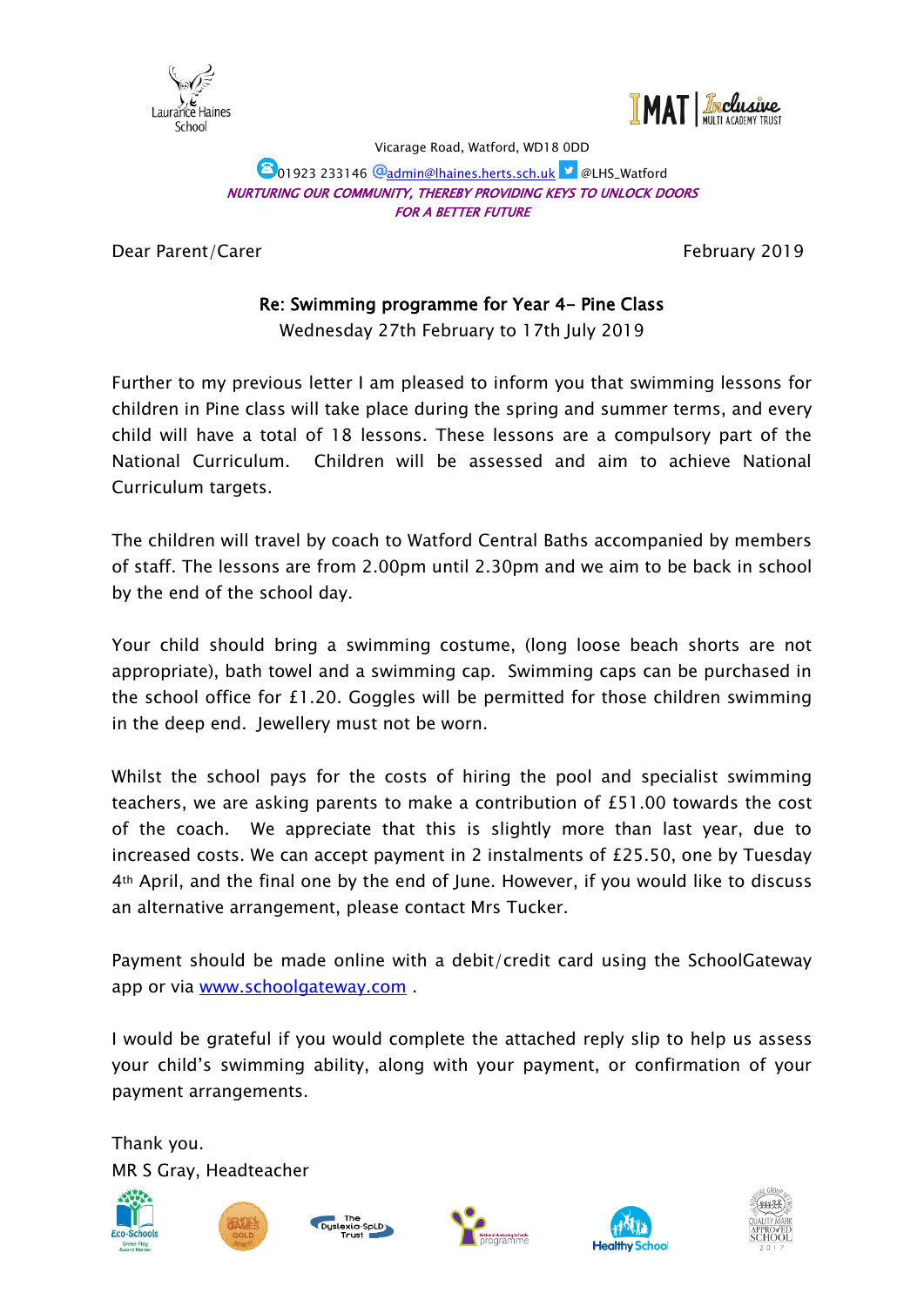



Vicarage Road, Watford, WD18 0DD

#### **101923 233146 @admin@lhaines.herts.sch.uk | @LHS\_Watford** NURTURING OUR COMMUNITY, THEREBY PROVIDING KEYS TO UNLOCK DOORS FOR A BETTER FUTURE

Dear Parent/Carer February 2019

## Re: Swimming programme for Year 4- Pine Class

Wednesday 27th February to 17th July 2019

Further to my previous letter I am pleased to inform you that swimming lessons for children in Pine class will take place during the spring and summer terms, and every child will have a total of 18 lessons. These lessons are a compulsory part of the National Curriculum. Children will be assessed and aim to achieve National Curriculum targets.

The children will travel by coach to Watford Central Baths accompanied by members of staff. The lessons are from 2.00pm until 2.30pm and we aim to be back in school by the end of the school day.

Your child should bring a swimming costume, (long loose beach shorts are not appropriate), bath towel and a swimming cap. Swimming caps can be purchased in the school office for £1.20. Goggles will be permitted for those children swimming in the deep end. Jewellery must not be worn.

Whilst the school pays for the costs of hiring the pool and specialist swimming teachers, we are asking parents to make a contribution of £51.00 towards the cost of the coach. We appreciate that this is slightly more than last year, due to increased costs. We can accept payment in 2 instalments of £25.50, one by Tuesday 4th April, and the final one by the end of June. However, if you would like to discuss an alternative arrangement, please contact Mrs Tucker.

Payment should be made online with a debit/credit card using the SchoolGateway app or via [www.schoolgateway.com](http://www.schoolgateway.com/).

I would be grateful if you would complete the attached reply slip to help us assess your child's swimming ability, along with your payment, or confirmation of your payment arrangements.

Thank you. MR S Gray, Headteacher